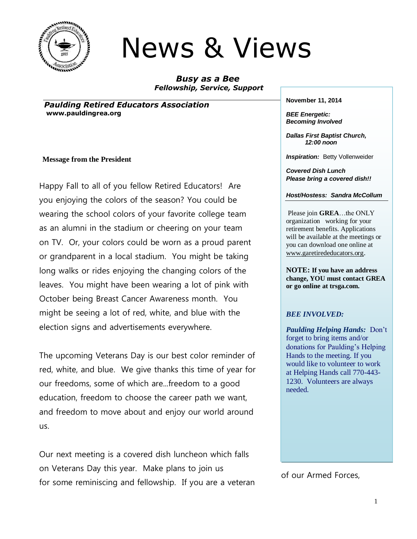

# News & Views

*Busy as a Bee Fellowship, Service, Support*

*Paulding Retired Educators Association* **www.pauldingrea.org**

#### **Message from the President**

Happy Fall to all of you fellow Retired Educators! Are you enjoying the colors of the season? You could be wearing the school colors of your favorite college team as an alumni in the stadium or cheering on your team on TV. Or, your colors could be worn as a proud parent or grandparent in a local stadium. You might be taking long walks or rides enjoying the changing colors of the leaves. You might have been wearing a lot of pink with October being Breast Cancer Awareness month. You might be seeing a lot of red, white, and blue with the election signs and advertisements everywhere.

The upcoming Veterans Day is our best color reminder of red, white, and blue. We give thanks this time of year for our freedoms, some of which are...freedom to a good education, freedom to choose the career path we want, and freedom to move about and enjoy our world around us.

Our next meeting is a covered dish luncheon which falls on Veterans Day this year. Make plans to join us for some reminiscing and fellowship. If you are a veteran **November 11, 2014**

*BEE Energetic: Becoming Involved*

*Dallas First Baptist Church, 12:00 noon*

**Inspiration: Betty Vollenweider** 

*Covered Dish Lunch Please bring a covered dish!!*

*Host/Hostess: Sandra McCollum*

Please join **GREA**…the ONLY organization working for your retirement benefits. Applications will be available at the meetings or you can download one online at [www.garetirededucators.org](http://www.garetirededucators.org/).

**NOTE: If you have an address change, YOU must contact GREA or go online at trsga.com.**

#### *BEE INVOLVED:*

*Paulding Helping Hands:* Don't forget to bring items and/or donations for Paulding's Helping Hands to the meeting. If you would like to volunteer to work at Helping Hands call 770-443- 1230. Volunteers are always needed.

of our Armed Forces,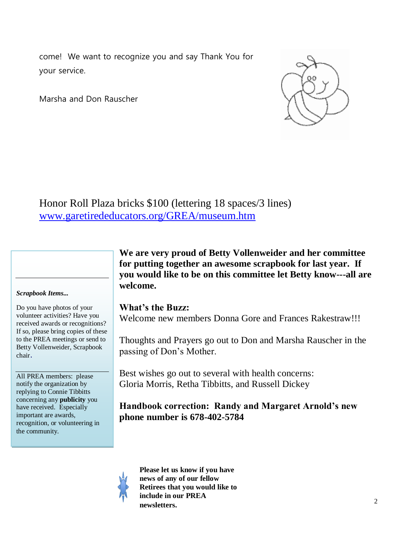come! We want to recognize you and say Thank You for your service.

Marsha and Don Rauscher



Honor Roll Plaza bricks \$100 (lettering 18 spaces/3 lines) [www.garetirededucators.org/GREA/museum.htm](http://www.garetirededucators.org/GREA/museum.htm)



#### *Scrapbook Items...*

Do you have photos of your volunteer activities? Have you received awards or recognitions? If so, please bring copies of these to the PREA meetings or send to Betty Vollenweider, Scrapbook chair.

All PREA members: please notify the organization by replying to Connie Tibbitts concerning any **publicity** you have received. Especially important are awards, recognition, or volunteering in the community.

**We are very proud of Betty Vollenweider and her committee for putting together an awesome scrapbook for last year. If you would like to be on this committee let Betty know---all are welcome.**

#### **What's the Buzz:**

Welcome new members Donna Gore and Frances Rakestraw!!!

Thoughts and Prayers go out to Don and Marsha Rauscher in the passing of Don's Mother.

Best wishes go out to several with health concerns: Gloria Morris, Retha Tibbitts, and Russell Dickey

### **Handbook correction: Randy and Margaret Arnold's new phone number is 678-402-5784**

**Please let us know if you have news of any of our fellow Retirees that you would like to include in our PREA newsletters.**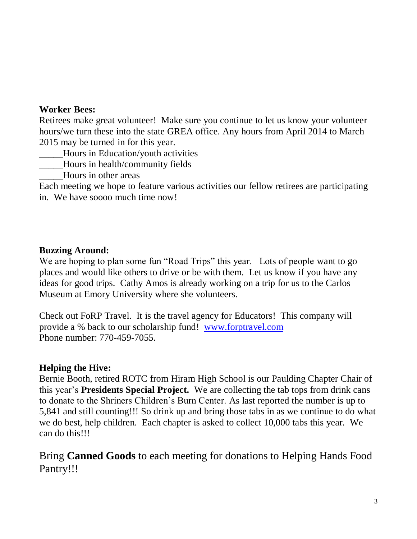### **Worker Bees:**

Retirees make great volunteer! Make sure you continue to let us know your volunteer hours/we turn these into the state GREA office. Any hours from April 2014 to March 2015 may be turned in for this year.

- \_\_\_\_\_Hours in Education/youth activities
- \_\_\_\_\_Hours in health/community fields
- \_\_\_\_\_Hours in other areas

Each meeting we hope to feature various activities our fellow retirees are participating in. We have soooo much time now!

## **Buzzing Around:**

We are hoping to plan some fun "Road Trips" this year. Lots of people want to go places and would like others to drive or be with them. Let us know if you have any ideas for good trips. Cathy Amos is already working on a trip for us to the Carlos Museum at Emory University where she volunteers.

Check out FoRP Travel. It is the travel agency for Educators! This company will provide a % back to our scholarship fund! [www.forptravel.com](http://www.forptravel.com/)  Phone number: 770-459-7055.

## **Helping the Hive:**

Bernie Booth, retired ROTC from Hiram High School is our Paulding Chapter Chair of this year's **Presidents Special Project.** We are collecting the tab tops from drink cans to donate to the Shriners Children's Burn Center. As last reported the number is up to 5,841 and still counting!!! So drink up and bring those tabs in as we continue to do what we do best, help children. Each chapter is asked to collect 10,000 tabs this year. We can do this!!!

Bring **Canned Goods** to each meeting for donations to Helping Hands Food Pantry!!!